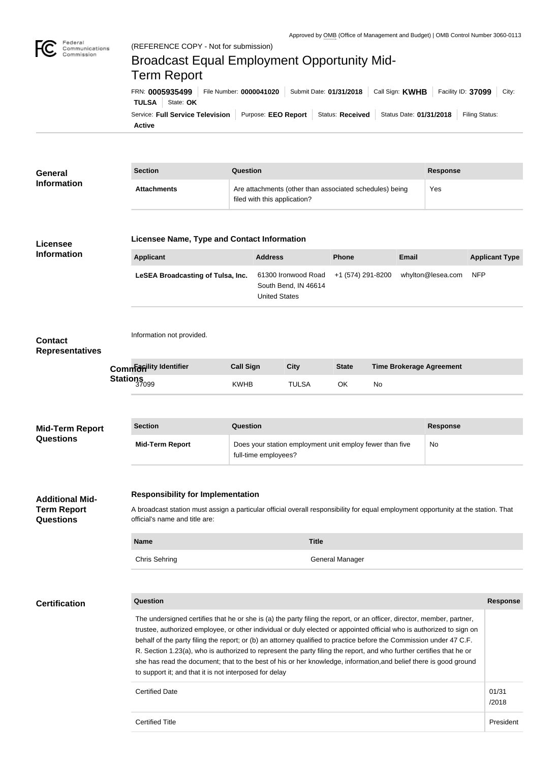

## Federal<br>Communications<br>Commission Broadcast Equal Employment Opportunity Mid-Term ReportFRN: **0005935499** File Number: **0000041020** Submit Date: **01/31/2018** Call Sign: **KWHB** Facility ID: **37099** City: **TULSA** State: OK Service: Full Service Television | Purpose: EEO Report | Status: Received | Status Date: 01/31/2018 | Filing Status: **Active**

| <b>General</b>                                                                                                                                                                                                                                                                                                                                                                                                                                                                                                                                                                                                                                                               |  | <b>Section</b>                                                                                                                                                                                                   | <b>Question</b>  |                                                                     |              |                                                                                                                                                                                                                                                     |                       | <b>Response</b> |            |                 |
|------------------------------------------------------------------------------------------------------------------------------------------------------------------------------------------------------------------------------------------------------------------------------------------------------------------------------------------------------------------------------------------------------------------------------------------------------------------------------------------------------------------------------------------------------------------------------------------------------------------------------------------------------------------------------|--|------------------------------------------------------------------------------------------------------------------------------------------------------------------------------------------------------------------|------------------|---------------------------------------------------------------------|--------------|-----------------------------------------------------------------------------------------------------------------------------------------------------------------------------------------------------------------------------------------------------|-----------------------|-----------------|------------|-----------------|
| <b>Information</b>                                                                                                                                                                                                                                                                                                                                                                                                                                                                                                                                                                                                                                                           |  | <b>Attachments</b>                                                                                                                                                                                               |                  | filed with this application?                                        |              | Yes                                                                                                                                                                                                                                                 |                       |                 |            |                 |
| Licensee                                                                                                                                                                                                                                                                                                                                                                                                                                                                                                                                                                                                                                                                     |  | Licensee Name, Type and Contact Information                                                                                                                                                                      |                  |                                                                     |              |                                                                                                                                                                                                                                                     |                       |                 |            |                 |
| <b>Information</b>                                                                                                                                                                                                                                                                                                                                                                                                                                                                                                                                                                                                                                                           |  | <b>Applicant</b>                                                                                                                                                                                                 |                  | <b>Address</b>                                                      |              | Are attachments (other than associated schedules) being<br><b>Phone</b><br><b>Email</b><br>whylton@lesea.com<br>+1 (574) 291-8200<br><b>State</b><br><b>Time Brokerage Agreement</b><br>OK<br>No<br><b>Response</b><br><b>No</b><br>General Manager | <b>Applicant Type</b> |                 |            |                 |
|                                                                                                                                                                                                                                                                                                                                                                                                                                                                                                                                                                                                                                                                              |  | LeSEA Broadcasting of Tulsa, Inc.                                                                                                                                                                                |                  | 61300 Ironwood Road<br>South Bend, IN 46614<br><b>United States</b> |              |                                                                                                                                                                                                                                                     |                       |                 | <b>NFP</b> |                 |
| <b>Contact</b><br><b>Representatives</b>                                                                                                                                                                                                                                                                                                                                                                                                                                                                                                                                                                                                                                     |  | Information not provided.                                                                                                                                                                                        |                  |                                                                     |              |                                                                                                                                                                                                                                                     |                       |                 |            |                 |
|                                                                                                                                                                                                                                                                                                                                                                                                                                                                                                                                                                                                                                                                              |  | <b>Commanity Identifier</b>                                                                                                                                                                                      | <b>Call Sign</b> |                                                                     | <b>City</b>  |                                                                                                                                                                                                                                                     |                       |                 |            |                 |
|                                                                                                                                                                                                                                                                                                                                                                                                                                                                                                                                                                                                                                                                              |  | Stations<br>37099                                                                                                                                                                                                | <b>KWHB</b>      |                                                                     | <b>TULSA</b> |                                                                                                                                                                                                                                                     |                       |                 |            |                 |
|                                                                                                                                                                                                                                                                                                                                                                                                                                                                                                                                                                                                                                                                              |  |                                                                                                                                                                                                                  |                  |                                                                     |              |                                                                                                                                                                                                                                                     |                       |                 |            |                 |
| <b>Mid-Term Report</b><br><b>Questions</b>                                                                                                                                                                                                                                                                                                                                                                                                                                                                                                                                                                                                                                   |  | <b>Question</b><br><b>Section</b>                                                                                                                                                                                |                  |                                                                     |              |                                                                                                                                                                                                                                                     |                       |                 |            |                 |
|                                                                                                                                                                                                                                                                                                                                                                                                                                                                                                                                                                                                                                                                              |  | Does your station employment unit employ fewer than five<br><b>Mid-Term Report</b><br>full-time employees?                                                                                                       |                  |                                                                     |              |                                                                                                                                                                                                                                                     |                       |                 |            |                 |
| <b>Additional Mid-</b><br><b>Term Report</b><br><b>Questions</b>                                                                                                                                                                                                                                                                                                                                                                                                                                                                                                                                                                                                             |  | <b>Responsibility for Implementation</b><br>A broadcast station must assign a particular official overall responsibility for equal employment opportunity at the station. That<br>official's name and title are: |                  |                                                                     |              |                                                                                                                                                                                                                                                     |                       |                 |            |                 |
|                                                                                                                                                                                                                                                                                                                                                                                                                                                                                                                                                                                                                                                                              |  |                                                                                                                                                                                                                  |                  |                                                                     |              |                                                                                                                                                                                                                                                     |                       |                 |            |                 |
|                                                                                                                                                                                                                                                                                                                                                                                                                                                                                                                                                                                                                                                                              |  | <b>Name</b>                                                                                                                                                                                                      |                  |                                                                     | <b>Title</b> |                                                                                                                                                                                                                                                     |                       |                 |            |                 |
|                                                                                                                                                                                                                                                                                                                                                                                                                                                                                                                                                                                                                                                                              |  | <b>Chris Sehring</b>                                                                                                                                                                                             |                  |                                                                     |              |                                                                                                                                                                                                                                                     |                       |                 |            |                 |
|                                                                                                                                                                                                                                                                                                                                                                                                                                                                                                                                                                                                                                                                              |  |                                                                                                                                                                                                                  |                  |                                                                     |              |                                                                                                                                                                                                                                                     |                       |                 |            |                 |
| <b>Certification</b>                                                                                                                                                                                                                                                                                                                                                                                                                                                                                                                                                                                                                                                         |  | <b>Question</b>                                                                                                                                                                                                  |                  |                                                                     |              |                                                                                                                                                                                                                                                     |                       |                 |            | <b>Response</b> |
| The undersigned certifies that he or she is (a) the party filing the report, or an officer, director, member, partner,<br>trustee, authorized employee, or other individual or duly elected or appointed official who is authorized to sign on<br>behalf of the party filing the report; or (b) an attorney qualified to practice before the Commission under 47 C.F.<br>R. Section 1.23(a), who is authorized to represent the party filing the report, and who further certifies that he or<br>she has read the document; that to the best of his or her knowledge, information, and belief there is good ground<br>to support it; and that it is not interposed for delay |  |                                                                                                                                                                                                                  |                  |                                                                     |              |                                                                                                                                                                                                                                                     |                       |                 |            |                 |
|                                                                                                                                                                                                                                                                                                                                                                                                                                                                                                                                                                                                                                                                              |  | <b>Certified Date</b>                                                                                                                                                                                            |                  |                                                                     |              |                                                                                                                                                                                                                                                     |                       |                 |            | 01/31<br>/2018  |
|                                                                                                                                                                                                                                                                                                                                                                                                                                                                                                                                                                                                                                                                              |  | <b>Certified Title</b>                                                                                                                                                                                           |                  |                                                                     |              |                                                                                                                                                                                                                                                     |                       |                 |            | President       |